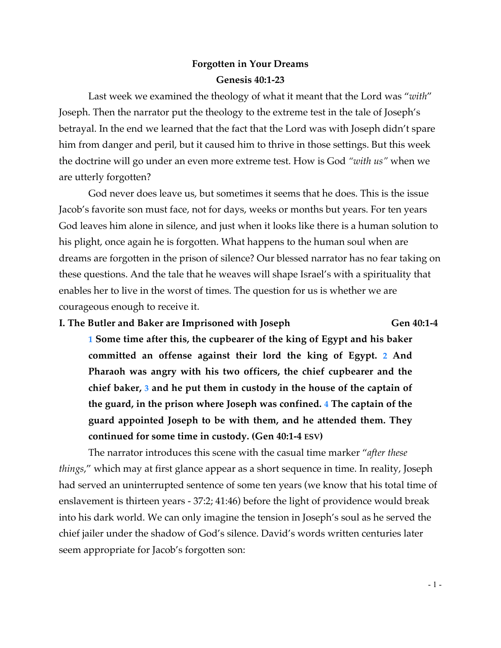# **Forgotten in Your Dreams Genesis 40:1-23**

Last week we examined the theology of what it meant that the Lord was "*with*" Joseph. Then the narrator put the theology to the extreme test in the tale of Joseph's betrayal. In the end we learned that the fact that the Lord was with Joseph didn't spare him from danger and peril, but it caused him to thrive in those settings. But this week the doctrine will go under an even more extreme test. How is God *"with us"* when we are utterly forgotten?

God never does leave us, but sometimes it seems that he does. This is the issue Jacob's favorite son must face, not for days, weeks or months but years. For ten years God leaves him alone in silence, and just when it looks like there is a human solution to his plight, once again he is forgotten. What happens to the human soul when are dreams are forgotten in the prison of silence? Our blessed narrator has no fear taking on these questions. And the tale that he weaves will shape Israel's with a spirituality that enables her to live in the worst of times. The question for us is whether we are courageous enough to receive it.

# **I. The Butler and Baker are Imprisoned with Joseph Gen 40:1-4**

**1 Some time after this, the cupbearer of the king of Egypt and his baker committed an offense against their lord the king of Egypt. 2 And Pharaoh was angry with his two officers, the chief cupbearer and the chief baker, 3 and he put them in custody in the house of the captain of the guard, in the prison where Joseph was confined. 4 The captain of the guard appointed Joseph to be with them, and he attended them. They continued for some time in custody. (Gen 40:1-4 ESV)**

The narrator introduces this scene with the casual time marker "*after these things*," which may at first glance appear as a short sequence in time. In reality, Joseph had served an uninterrupted sentence of some ten years (we know that his total time of enslavement is thirteen years - 37:2; 41:46) before the light of providence would break into his dark world. We can only imagine the tension in Joseph's soul as he served the chief jailer under the shadow of God's silence. David's words written centuries later seem appropriate for Jacob's forgotten son: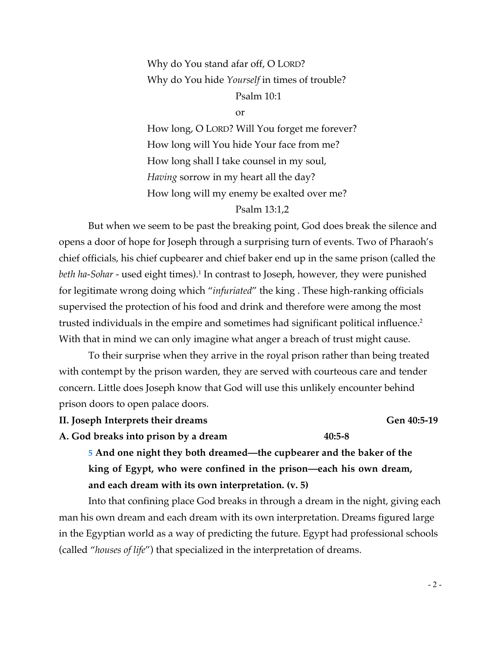# Why do You stand afar off, O LORD? Why do You hide *Yourself* in times of trouble?

# Psalm 10:1

or

How long, O LORD? Will You forget me forever? How long will You hide Your face from me? How long shall I take counsel in my soul, *Having* sorrow in my heart all the day? How long will my enemy be exalted over me?

#### Psalm 13:1,2

But when we seem to be past the breaking point, God does break the silence and opens a door of hope for Joseph through a surprising turn of events. Two of Pharaoh's chief officials, his chief cupbearer and chief baker end up in the same prison (called the *beth ha-Sohar* - used eight times).<sup>1</sup> In contrast to Joseph, however, they were punished for legitimate wrong doing which "*infuriated*" the king . These high-ranking officials supervised the protection of his food and drink and therefore were among the most trusted individuals in the empire and sometimes had significant political influence.<sup>2</sup> With that in mind we can only imagine what anger a breach of trust might cause.

To their surprise when they arrive in the royal prison rather than being treated with contempt by the prison warden, they are served with courteous care and tender concern. Little does Joseph know that God will use this unlikely encounter behind prison doors to open palace doors.

**II. Joseph Interprets their dreams Gen 40:5-19**

**A. God breaks into prison by a dream 40:5-8**

**5 And one night they both dreamed—the cupbearer and the baker of the king of Egypt, who were confined in the prison—each his own dream, and each dream with its own interpretation. (v. 5)**

Into that confining place God breaks in through a dream in the night, giving each man his own dream and each dream with its own interpretation. Dreams figured large in the Egyptian world as a way of predicting the future. Egypt had professional schools (called "*houses of life*") that specialized in the interpretation of dreams.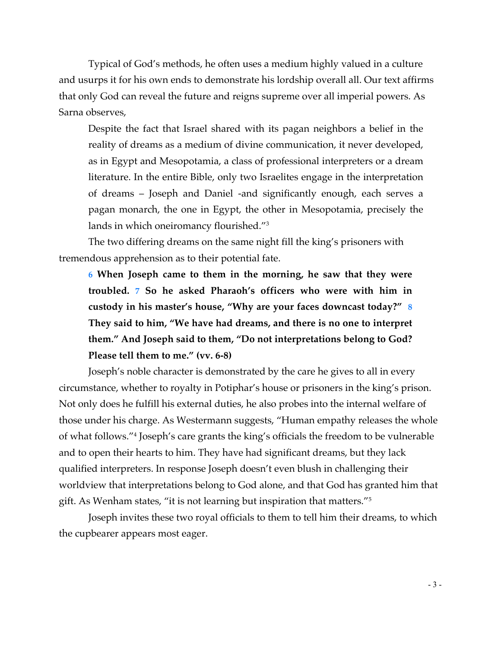Typical of God's methods, he often uses a medium highly valued in a culture and usurps it for his own ends to demonstrate his lordship overall all. Our text affirms that only God can reveal the future and reigns supreme over all imperial powers. As Sarna observes,

Despite the fact that Israel shared with its pagan neighbors a belief in the reality of dreams as a medium of divine communication, it never developed, as in Egypt and Mesopotamia, a class of professional interpreters or a dream literature. In the entire Bible, only two Israelites engage in the interpretation of dreams – Joseph and Daniel -and significantly enough, each serves a pagan monarch, the one in Egypt, the other in Mesopotamia, precisely the lands in which oneiromancy flourished."3

The two differing dreams on the same night fill the king's prisoners with tremendous apprehension as to their potential fate.

**6 When Joseph came to them in the morning, he saw that they were troubled. 7 So he asked Pharaoh's officers who were with him in custody in his master's house, "Why are your faces downcast today?" 8 They said to him, "We have had dreams, and there is no one to interpret them." And Joseph said to them, "Do not interpretations belong to God? Please tell them to me." (vv. 6-8)**

Joseph's noble character is demonstrated by the care he gives to all in every circumstance, whether to royalty in Potiphar's house or prisoners in the king's prison. Not only does he fulfill his external duties, he also probes into the internal welfare of those under his charge. As Westermann suggests, "Human empathy releases the whole of what follows."4 Joseph's care grants the king's officials the freedom to be vulnerable and to open their hearts to him. They have had significant dreams, but they lack qualified interpreters. In response Joseph doesn't even blush in challenging their worldview that interpretations belong to God alone, and that God has granted him that gift. As Wenham states, "it is not learning but inspiration that matters."5

Joseph invites these two royal officials to them to tell him their dreams, to which the cupbearer appears most eager.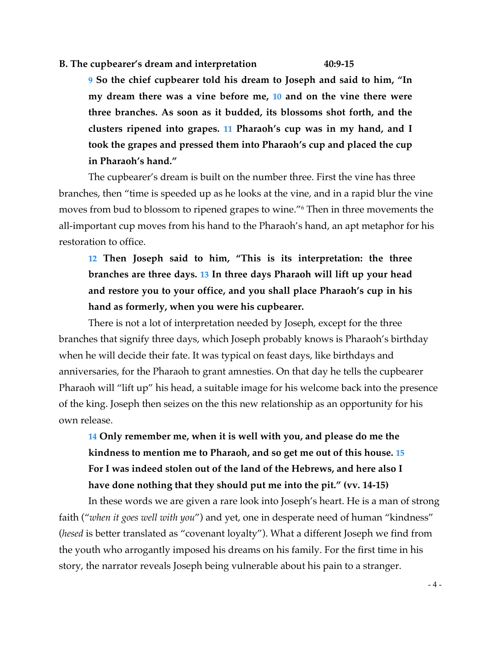#### **B. The cupbearer's dream and interpretation 40:9-15**

**9 So the chief cupbearer told his dream to Joseph and said to him, "In my dream there was a vine before me, 10 and on the vine there were three branches. As soon as it budded, its blossoms shot forth, and the clusters ripened into grapes. 11 Pharaoh's cup was in my hand, and I took the grapes and pressed them into Pharaoh's cup and placed the cup in Pharaoh's hand."**

The cupbearer's dream is built on the number three. First the vine has three branches, then "time is speeded up as he looks at the vine, and in a rapid blur the vine moves from bud to blossom to ripened grapes to wine."6 Then in three movements the all-important cup moves from his hand to the Pharaoh's hand, an apt metaphor for his restoration to office.

**12 Then Joseph said to him, "This is its interpretation: the three branches are three days. 13 In three days Pharaoh will lift up your head and restore you to your office, and you shall place Pharaoh's cup in his hand as formerly, when you were his cupbearer.**

There is not a lot of interpretation needed by Joseph, except for the three branches that signify three days, which Joseph probably knows is Pharaoh's birthday when he will decide their fate. It was typical on feast days, like birthdays and anniversaries, for the Pharaoh to grant amnesties. On that day he tells the cupbearer Pharaoh will "lift up" his head, a suitable image for his welcome back into the presence of the king. Joseph then seizes on the this new relationship as an opportunity for his own release.

**14 Only remember me, when it is well with you, and please do me the kindness to mention me to Pharaoh, and so get me out of this house. 15 For I was indeed stolen out of the land of the Hebrews, and here also I have done nothing that they should put me into the pit." (vv. 14-15)**

In these words we are given a rare look into Joseph's heart. He is a man of strong faith ("*when it goes well with you*") and yet, one in desperate need of human "kindness" (*hesed* is better translated as "covenant loyalty"). What a different Joseph we find from the youth who arrogantly imposed his dreams on his family. For the first time in his story, the narrator reveals Joseph being vulnerable about his pain to a stranger.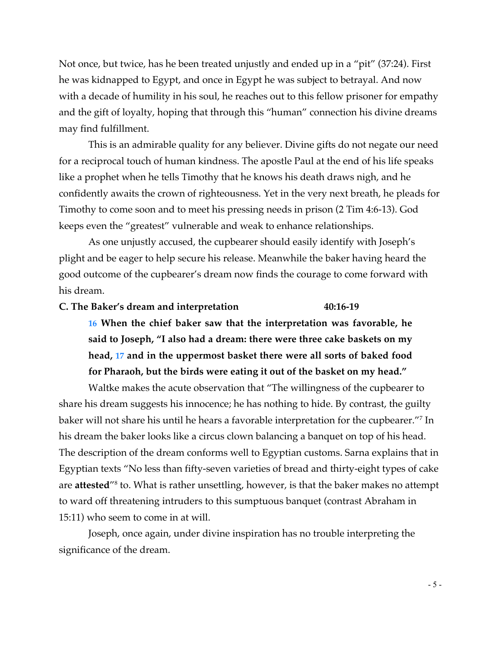Not once, but twice, has he been treated unjustly and ended up in a "pit" (37:24). First he was kidnapped to Egypt, and once in Egypt he was subject to betrayal. And now with a decade of humility in his soul, he reaches out to this fellow prisoner for empathy and the gift of loyalty, hoping that through this "human" connection his divine dreams may find fulfillment.

This is an admirable quality for any believer. Divine gifts do not negate our need for a reciprocal touch of human kindness. The apostle Paul at the end of his life speaks like a prophet when he tells Timothy that he knows his death draws nigh, and he confidently awaits the crown of righteousness. Yet in the very next breath, he pleads for Timothy to come soon and to meet his pressing needs in prison (2 Tim 4:6-13). God keeps even the "greatest" vulnerable and weak to enhance relationships.

As one unjustly accused, the cupbearer should easily identify with Joseph's plight and be eager to help secure his release. Meanwhile the baker having heard the good outcome of the cupbearer's dream now finds the courage to come forward with his dream.

#### **C. The Baker's dream and interpretation 40:16-19**

**16 When the chief baker saw that the interpretation was favorable, he said to Joseph, "I also had a dream: there were three cake baskets on my head, 17 and in the uppermost basket there were all sorts of baked food for Pharaoh, but the birds were eating it out of the basket on my head."**

Waltke makes the acute observation that "The willingness of the cupbearer to share his dream suggests his innocence; he has nothing to hide. By contrast, the guilty baker will not share his until he hears a favorable interpretation for the cupbearer."7 In his dream the baker looks like a circus clown balancing a banquet on top of his head. The description of the dream conforms well to Egyptian customs. Sarna explains that in Egyptian texts "No less than fifty-seven varieties of bread and thirty-eight types of cake are **attested**"8 to. What is rather unsettling, however, is that the baker makes no attempt to ward off threatening intruders to this sumptuous banquet (contrast Abraham in 15:11) who seem to come in at will.

Joseph, once again, under divine inspiration has no trouble interpreting the significance of the dream.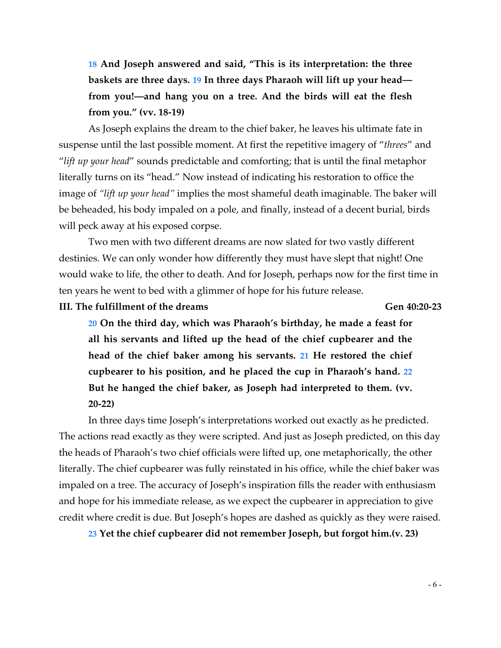**18 And Joseph answered and said, "This is its interpretation: the three baskets are three days. 19 In three days Pharaoh will lift up your head from you!—and hang you on a tree. And the birds will eat the flesh from you." (vv. 18-19)**

As Joseph explains the dream to the chief baker, he leaves his ultimate fate in suspense until the last possible moment. At first the repetitive imagery of "*threes*" and "*lift up your head*" sounds predictable and comforting; that is until the final metaphor literally turns on its "head." Now instead of indicating his restoration to office the image of *"lift up your head"* implies the most shameful death imaginable. The baker will be beheaded, his body impaled on a pole, and finally, instead of a decent burial, birds will peck away at his exposed corpse.

Two men with two different dreams are now slated for two vastly different destinies. We can only wonder how differently they must have slept that night! One would wake to life, the other to death. And for Joseph, perhaps now for the first time in ten years he went to bed with a glimmer of hope for his future release.

**III. The fulfillment of the dreams Gen 40:20-23**

**20 On the third day, which was Pharaoh's birthday, he made a feast for all his servants and lifted up the head of the chief cupbearer and the head of the chief baker among his servants. 21 He restored the chief cupbearer to his position, and he placed the cup in Pharaoh's hand. 22 But he hanged the chief baker, as Joseph had interpreted to them. (vv. 20-22)**

In three days time Joseph's interpretations worked out exactly as he predicted. The actions read exactly as they were scripted. And just as Joseph predicted, on this day the heads of Pharaoh's two chief officials were lifted up, one metaphorically, the other literally. The chief cupbearer was fully reinstated in his office, while the chief baker was impaled on a tree. The accuracy of Joseph's inspiration fills the reader with enthusiasm and hope for his immediate release, as we expect the cupbearer in appreciation to give credit where credit is due. But Joseph's hopes are dashed as quickly as they were raised.

**23 Yet the chief cupbearer did not remember Joseph, but forgot him.(v. 23)**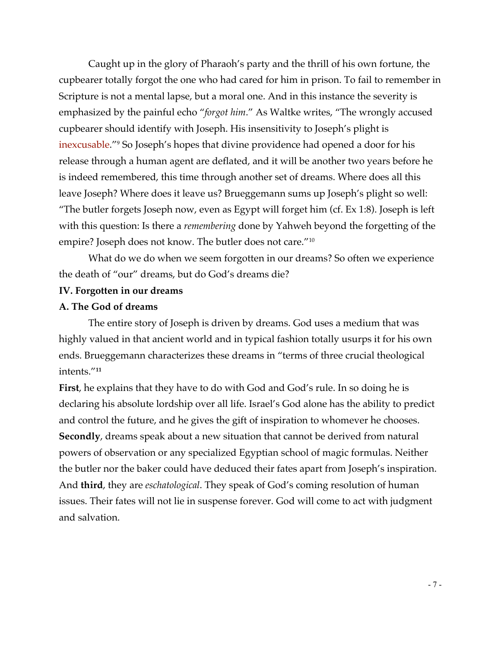Caught up in the glory of Pharaoh's party and the thrill of his own fortune, the cupbearer totally forgot the one who had cared for him in prison. To fail to remember in Scripture is not a mental lapse, but a moral one. And in this instance the severity is emphasized by the painful echo "*forgot him*." As Waltke writes, "The wrongly accused cupbearer should identify with Joseph. His insensitivity to Joseph's plight is inexcusable."9 So Joseph's hopes that divine providence had opened a door for his release through a human agent are deflated, and it will be another two years before he is indeed remembered, this time through another set of dreams. Where does all this leave Joseph? Where does it leave us? Brueggemann sums up Joseph's plight so well: "The butler forgets Joseph now, even as Egypt will forget him (cf. Ex 1:8). Joseph is left with this question: Is there a *remembering* done by Yahweh beyond the forgetting of the empire? Joseph does not know. The butler does not care."10

What do we do when we seem forgotten in our dreams? So often we experience the death of "our" dreams, but do God's dreams die?

## **IV. Forgotten in our dreams**

#### **A. The God of dreams**

The entire story of Joseph is driven by dreams. God uses a medium that was highly valued in that ancient world and in typical fashion totally usurps it for his own ends. Brueggemann characterizes these dreams in "terms of three crucial theological intents."**<sup>11</sup>**

**First**, he explains that they have to do with God and God's rule. In so doing he is declaring his absolute lordship over all life. Israel's God alone has the ability to predict and control the future, and he gives the gift of inspiration to whomever he chooses. **Secondly**, dreams speak about a new situation that cannot be derived from natural powers of observation or any specialized Egyptian school of magic formulas. Neither the butler nor the baker could have deduced their fates apart from Joseph's inspiration. And **third**, they are *eschatological*. They speak of God's coming resolution of human issues. Their fates will not lie in suspense forever. God will come to act with judgment and salvation.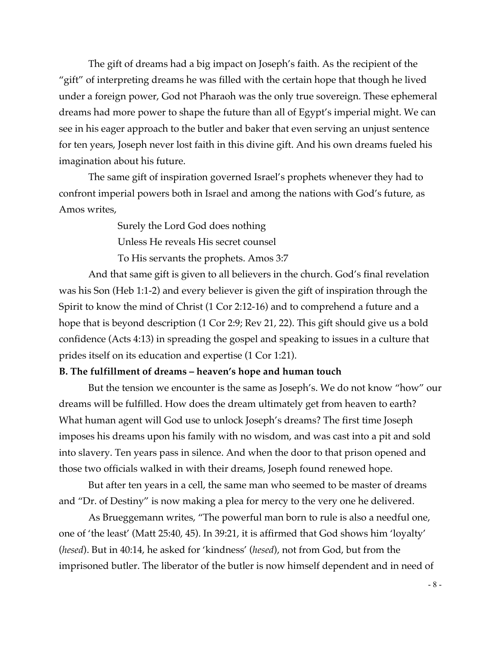The gift of dreams had a big impact on Joseph's faith. As the recipient of the "gift" of interpreting dreams he was filled with the certain hope that though he lived under a foreign power, God not Pharaoh was the only true sovereign. These ephemeral dreams had more power to shape the future than all of Egypt's imperial might. We can see in his eager approach to the butler and baker that even serving an unjust sentence for ten years, Joseph never lost faith in this divine gift. And his own dreams fueled his imagination about his future.

The same gift of inspiration governed Israel's prophets whenever they had to confront imperial powers both in Israel and among the nations with God's future, as Amos writes,

Surely the Lord God does nothing

Unless He reveals His secret counsel

To His servants the prophets. Amos 3:7

And that same gift is given to all believers in the church. God's final revelation was his Son (Heb 1:1-2) and every believer is given the gift of inspiration through the Spirit to know the mind of Christ (1 Cor 2:12-16) and to comprehend a future and a hope that is beyond description (1 Cor 2:9; Rev 21, 22). This gift should give us a bold confidence (Acts 4:13) in spreading the gospel and speaking to issues in a culture that prides itself on its education and expertise (1 Cor 1:21).

# **B. The fulfillment of dreams – heaven's hope and human touch**

But the tension we encounter is the same as Joseph's. We do not know "how" our dreams will be fulfilled. How does the dream ultimately get from heaven to earth? What human agent will God use to unlock Joseph's dreams? The first time Joseph imposes his dreams upon his family with no wisdom, and was cast into a pit and sold into slavery. Ten years pass in silence. And when the door to that prison opened and those two officials walked in with their dreams, Joseph found renewed hope.

But after ten years in a cell, the same man who seemed to be master of dreams and "Dr. of Destiny" is now making a plea for mercy to the very one he delivered.

As Brueggemann writes, "The powerful man born to rule is also a needful one, one of 'the least' (Matt 25:40, 45). In 39:21, it is affirmed that God shows him 'loyalty' (*hesed*). But in 40:14, he asked for 'kindness' (*hesed*), not from God, but from the imprisoned butler. The liberator of the butler is now himself dependent and in need of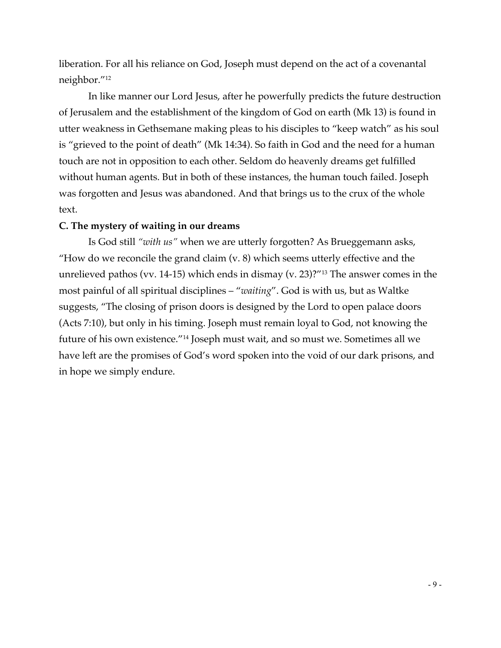liberation. For all his reliance on God, Joseph must depend on the act of a covenantal neighbor."12

In like manner our Lord Jesus, after he powerfully predicts the future destruction of Jerusalem and the establishment of the kingdom of God on earth (Mk 13) is found in utter weakness in Gethsemane making pleas to his disciples to "keep watch" as his soul is "grieved to the point of death" (Mk 14:34). So faith in God and the need for a human touch are not in opposition to each other. Seldom do heavenly dreams get fulfilled without human agents. But in both of these instances, the human touch failed. Joseph was forgotten and Jesus was abandoned. And that brings us to the crux of the whole text.

# **C. The mystery of waiting in our dreams**

Is God still *"with us"* when we are utterly forgotten? As Brueggemann asks, "How do we reconcile the grand claim  $(v. 8)$  which seems utterly effective and the unrelieved pathos (vv. 14-15) which ends in dismay (v. 23)?"13 The answer comes in the most painful of all spiritual disciplines – "*waiting*". God is with us, but as Waltke suggests, "The closing of prison doors is designed by the Lord to open palace doors (Acts 7:10), but only in his timing. Joseph must remain loyal to God, not knowing the future of his own existence."14 Joseph must wait, and so must we. Sometimes all we have left are the promises of God's word spoken into the void of our dark prisons, and in hope we simply endure.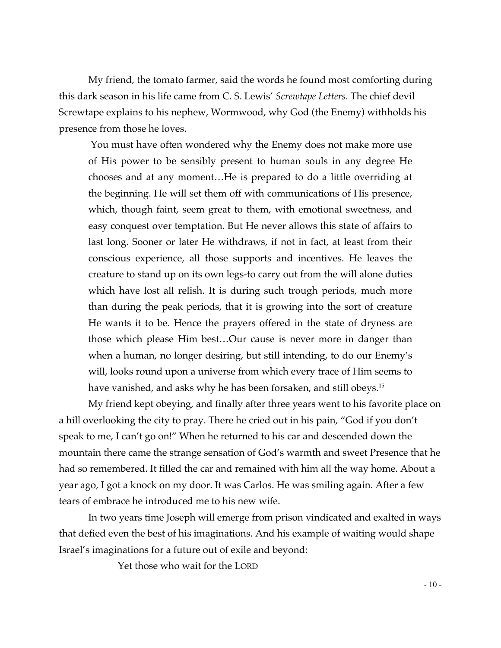My friend, the tomato farmer, said the words he found most comforting during this dark season in his life came from C. S. Lewis' *Screwtape Letters.* The chief devil Screwtape explains to his nephew, Wormwood, why God (the Enemy) withholds his presence from those he loves.

You must have often wondered why the Enemy does not make more use of His power to be sensibly present to human souls in any degree He chooses and at any moment…He is prepared to do a little overriding at the beginning. He will set them off with communications of His presence, which, though faint, seem great to them, with emotional sweetness, and easy conquest over temptation. But He never allows this state of affairs to last long. Sooner or later He withdraws, if not in fact, at least from their conscious experience, all those supports and incentives. He leaves the creature to stand up on its own legs-to carry out from the will alone duties which have lost all relish. It is during such trough periods, much more than during the peak periods, that it is growing into the sort of creature He wants it to be. Hence the prayers offered in the state of dryness are those which please Him best…Our cause is never more in danger than when a human, no longer desiring, but still intending, to do our Enemy's will, looks round upon a universe from which every trace of Him seems to have vanished, and asks why he has been forsaken, and still obeys.<sup>15</sup>

My friend kept obeying, and finally after three years went to his favorite place on a hill overlooking the city to pray. There he cried out in his pain, "God if you don't speak to me, I can't go on!" When he returned to his car and descended down the mountain there came the strange sensation of God's warmth and sweet Presence that he had so remembered. It filled the car and remained with him all the way home. About a year ago, I got a knock on my door. It was Carlos. He was smiling again. After a few tears of embrace he introduced me to his new wife.

In two years time Joseph will emerge from prison vindicated and exalted in ways that defied even the best of his imaginations. And his example of waiting would shape Israel's imaginations for a future out of exile and beyond:

Yet those who wait for the LORD